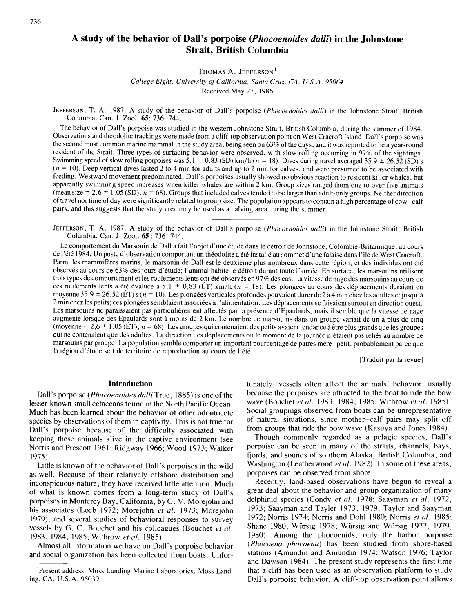**Strait, British Columbia** 

THOMAS A. JEFFERSON **<sup>I</sup>**

College Eight, University of California, Santu Cruz, CA, U.S.A. 95064

Received May 27, 1986

JEFFERSON, T. A. 1987. A study of the behavior of Dall's porpoise (Phocoenoides dalli) in the Johnstone Strait, British Columbia. Can. J. Zool. 65: 736-744.

The behavior of Dall's porpoise was studied in the western Johnstone Strait, British Columbia, during the summer of 1984. Observations and theodolite trackings were made from a cliff-top observation point on West Cracroft Island. Dall's porpoise was the second most common marine mammal in the study area, being seen on  $63\%$  of the days, and it was reported to be a year-round resident of the Strait. Three types of surfacing behavior were observed, with slow rolling occurring in 97% of the sightings. Swimming speed of slow rolling porpoises was  $\overline{5}$ .1  $\pm$  0.83 (SD) km/h (n = 18). Dives during travel averaged 35.9  $\pm$  26.52 (SD) s  $(n = 10)$ . Deep vertical dives lasted 2 to 4 min for adults and up to 2 min for calves, and were presumed to be associated with feeding. Westward movement predominated. Dall's porpoises usually showed no obvious reaction to resident killer whales, but apparently swimming speed increases when killer whales are within 2 km. Group sizes ranged from one to over five animals (mean size =  $2.6 \pm 1.05$  (SD),  $n = 68$ ). Groups that included calves tended to be larger than adult-only groups. Neither direction of travel nor time of day were significantly related to group size. The population appears to contain a high percentage of cow-calf pairs, and this suggests that the study area may be used as a calving area during the summer.

JEFFERSON, T. A. 1987. A study of the behavior of Dall's porpoise (Phocoenoides dalli) in the Johnstone Strait, British Columbia. Can. J. Zool. 65 : 736-744.

Le comportement du Marsouin de Dall a fait l'objet d'une étude dans le détroit de Johnstone, Colombie-Britannique, au cours de l'été 1984. Un poste d'observation comportant un théodolite a été installé au sommet d'une falaise dans l'île de West Cracroft. Parmi les mammifères marins, le marsouin de Dall est le deuxième plus nombreux dans cette région, et des individus ont été observés au cours de 63% des jours d'étude; l'animal habite le détroit durant toute l'année. En surface, les marsouins utilisent trois types de comportement et les roulements lents ont été observés en 97% des cas. La vitesse de nage des marsouins au cours de ces roulements lents a été évaluée à 5,1  $\pm$  0,83 (ET) km/h (n = 18). Les plongées au cours des déplacements duraient en moyenne 35,9  $\pm$  26,52 (ÉT) s (n = 10). Les plongées verticales profondes pouvaient durer de 2 à 4 min chez les adultes et jusqu'à 2 min chez les petits; ces plongées semblaient associées à l'alimentation. Les déplacements se faisaient surtout en direction ouest. Les marsouins ne paraissaient pas particulièrement affectés par la présence d'Epaulards, mais il semble que la vitesse de nage augmente lorsque des Epaulards sont à moins de 2 km. Le nombre de marsouins dans un groupe variait de un à plus de cinq (moyenne =  $2,6 \pm 1,05$  (ET),  $n = 68$ ). Les groupes qui contenaient des petits avaient tendance à être plus grands que les groupes qui ne contenaient que des adultes. La direction des déplacements ou le moment de la journée n'étaient pas reliés au nombre de marsouins par groupe. La population semble comporter un important pourcentage de paires mere-petit, probablement parce que la région d'étude sert de territoire de reproduction au cours de l'été.

[Traduit par la revue]

### **Introduction**

Dall's porpoise (Phocoenoides dalli True, 1885) is one of the lesser-known small cetaceans found in the North Pacific Ocean. Much has been learned about the behavior of other odontocete species by observations of them in captivity. This is not true for Dall's porpoise because of the difficulty associated with keeping these animals alive in the captive environment (see Norris and Prescott 1961; Ridgway 1966; Wood 1973; Walker 1975).

Little is known of the behavior of Dall's porpoises in the wild as well. Because of their relatively offshore distribution and inconspicuous nature, they have received little attention. Much of what is known comes from a long-term study of Dall's porpoises in Monterey Bay, California, by G. V. Morejohn and his associates (Loeb 1972; Morejohn et al. 1973; Morejohn 1979), and several studies of behavioral responses to survey vessels by G. C. Bouchet and his colleagues (Bouchet et al. 1983, 1984, 1985; Withrow et al. 1985).

Almost all information we have on Dall's porpoise behavior and social organization has been collected from boats. Unfortunately, vessels often affect the animals' behavior, usually because the porpoises are attracted to the boat to ride the bow wave (Bouchet et al. 1983, 1984, 1985; Withrow et al. 1985). Social groupings observed from boats can be unrepresentative of natural situations, since mother-calf pairs may split off from groups that ride the bow wave (Kasuya and Jones 1984).

Though commonly regarded as a pelagic species, Dall's porpoise can be seen in many of the straits, channels, bays, fjords, and sounds of southern Alaska, British Columbia, and Washington (Leatherwood et al. 1982). In some of these areas, porpoises can be observed from shore.

Recently, land-based observations have begun to reveal a great deal about the behavior and group organization of many delphinid species (Condy et al. 1978; Saayman et al. 1972, 1973; Saayman and Tayler 1973, 1979; Tayler and Saayman 1972; Norris 1974; Norris and Doh1 1980; Norris et al. 1985; Shane 1980; Würsig 1978; Würsig and Würsig 1977, 1979, 1980). Among the phocoenids, only the harbor porpoise (Phocoena phocoena) has been studied from shore-based stations (Amundin and Amundin 1974; Watson 1976; Taylor and Dawson 1984). The present study represents the first time that a cliff has been used as an observation platform to study Dall's porpoise behavior. A cliff-top observation point allows

<sup>&</sup>lt;sup>1</sup>Present address: Moss Landing Marine Laboratories, Moss Landing, CA, U.S.A. 95039.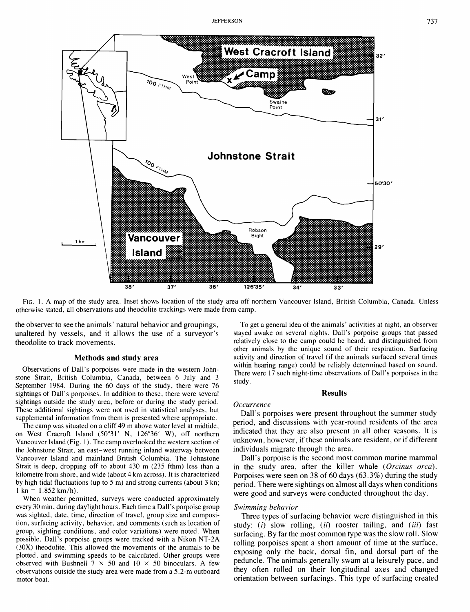

FIG. 1. A map of the study area. Inset shows location of the study area off northern Vancouver Island, British Columbia, Canada. Unless otherwise stated, all observations and theodolite trackings were made from camp.

the observer to see the animals' natural behavior and groupings, To get a general idea of the animals' activities at night, an observer<br>unaltered by vessels, and it allows the use of a surveyor's stayed awake on several ni unaltered by vessels, and it allows the use of a surveyor's theodolite to track movements.

stone Strait, British Columbia, Canada, between 6 July and 3 study.<br>September 1984. During the 60 days of the study, there were 76 sightings of Dall's porpoises. In addition to these, there were several **Results Results** sightings outside the study area, before or during the study period. These additional sightings were not used in statistical analyses, but supplemental information from them is presented where appropriate.

The camp was situated on a cliff 49 m above water level at midtide, on West Cracroft Island (50'31' N, 126'36' W), off northern Vancouver Island (Fig. 1). The camp overlooked the western section of the Johnstone Strait, an east-west running inland waterway between Vancouver Island and mainland British Columbia. The Johnstone Strait is deep, dropping off to about 430 m (235 fthm) less than a kilometre from shore, and wide (about 4 km across). It is characterized by high tidal fluctuations (up to 5 m) and strong currents (about 3 kn;  $1 \text{ kn} = 1.852 \text{ km/h}.$ 

When weather permitted, surveys were conducted approximately every 30 min, during daylight hours. Each time a Dall's porpoise group was sighted, date, time, direction of travel, group size and composition, surfacing activity, behavior, and comments (such as location of group, sighting conditions, and color variations) were noted. When possible, Dall's porpoise groups were tracked with a Nikon NT-2A (30X) theodolite. This allowed the movements of the animals to be plotted, and swimming speeds to be calculated. Other groups were observed with Bushnell  $7 \times 50$  and  $10 \times 50$  binoculars. A few observations outside the study area were made from a 5.2-m outboard motor boat.

relatively close to the camp could be heard, and distinguished from other animals by the unique sound of their respiration. Surfacing **Methods and study area <b>activity** and direction of travel (if the animals surfaced several times within hearing range) could be reliably determined based on sound. Observations of Dall's porpoises were made in the western John-<br>stone Strait, British Columbia, Canada, between 6 July and 3<br>there were 17 such night-time observations of Dall's porpoises in the

## *Occurrence*

Dall's porpoises were present throughout the summer study period, and discussions with year-round residents of the area indicated that they are also present in all other seasons. It is unknown, however, if these animals are resident, or if different individuals migrate through the area.

Dall's porpoise is the second most common marine mammal in the study area, after the killer whale *(Orcinus orca).*  Porpoises were seen on *38* of *60* days *(63.3%)* during the study period. There were sightings on almost all days when conditions were good and surveys were conducted throughout the day.

#### *Swimming behavior*

Three types of surfacing behavior were distinguished in this study: *(i)* slow rolling, *(ii)* rooster tailing, and *(iii)* fast surfacing. By far the most common type was the slow roll. Slow rolling porpoises spent a short amount of time at the surface, exposing only the back, dorsal fin, and dorsal part of the peduncle. The animals generally swam at a leisurely pace, and they often rolled on their longitudinal axes and changed orientation between surfacings. This type of surfacing created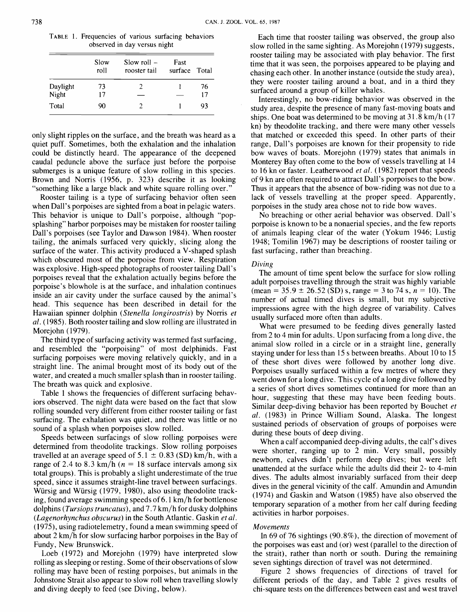TABLE 1. Frequencies of various surfacing behaviors observed in day versus night

|          | Slow<br>roll | Slow roll $-$<br>rooster tail | Fast<br>surface Total |    |
|----------|--------------|-------------------------------|-----------------------|----|
| Daylight | 73           | 7                             |                       | 76 |
| Night    | 17           |                               |                       | 17 |
| Total    | 90           |                               |                       | 93 |

only slight ripples on the surface, and the breath was heard as a quiet puff. Sometimes, both the exhalation and the inhalation could be distinctly heard. The appearance of the deepened caudal peduncle above the surface just before the porpoise submerges is a unique feature of slow rolling in this species. Brown and Norris (1956, p. 323) describe it as looking "something like a large black and white square rolling over."

Rooster tailing is a type of surfacing behavior often seen when Dall's porpoises are sighted from a boat in pelagic waters. This behavior is unique to Dall's porpoise, although "popsplashing" harbor porpoises may be mistaken for rooster tailing Dall's porpoises (see Taylor and Dawson 1984). When rooster tailing, the animals surfaced very quickly, slicing along the surface of the water. This activity produced a V-shaped splash which obscured most of the porpoise from view. Respiration was explosive. High-speed photographs of rooster tailing Dall's porpoises reveal that the exhalation actually begins before the porpoise's blowhole is at the surface, and inhalation continues inside an air cavity under the surface caused by the animal's head. This sequence has been described in detail for the Hawaiian spinner dolphin (Stenella longirostris) by Norris et al. (1985). Both rooster tailing and slow rolling are illustrated in Morejohn ( 1979).

The third type of surfacing activity was termed fast surfacing, and resembled the "porpoising" of most delphinids. Fast surfacing porpoises were moving relatively quickly, and in a straight line. The animal brought most of its body out of the water, and created a much smaller splash than in rooster tailing. The breath was quick and explosive.

Table 1 shows the frequencies of different surfacing behaviors observed. The night data were based on the fact that slow rolling sounded very different from either rooster tailing or fast surfacing. The exhalation was quiet, and there was little or no sound of a splash when porpoises slow rolled.

Speeds between surfacings of slow rolling porpoises were determined from theodolite trackings. Slow rolling porpoises travelled at an average speed of 5.1  $\pm$  0.83 (SD) km/h, with a range of 2.4 to 8.3 km/h ( $n = 18$  surface intervals among six total groups). This is probably a slight underestimate of the true speed, since it assumes straight-line travel between surfacings. Wursig and Wursig (1979, 1980), also using theodolite tracking, found average swimming speeds of 6.1 km/h for bottlenose dolphins (Tursiops truncatus), and 7.7 km/h for dusky dolphins (Lagenorhynchus obscurus) in the South Atlantic. Gaskin et al. (1975), using radiotelemetry, found a mean swimming speed of about 2 km/h for slow surfacing harbor porpoises in the Bay of Fundy, New Brunswick.

Loeb (1972) and Morejohn (1979) have interpreted slow rolling as sleeping or resting. Some of their observations of slow rolling may have been of resting porpoises, but animals in the Johnstone Strait also appear to slow roll when travelling slowly and diving deeply to feed (see Diving, below).

Each time that rooster tailing was observed, the group also slow rolled in the same sighting. As Morejohn ( 1979) suggests, rooster tailing may be associated with play behavior. The first time that it was seen, the porpoises appeared to be playing and chasing each other. In another instance (outside the study area), they were rooster tailing around a boat, and in a third they surfaced around a group of killer whales.

Interestingly, no bow-riding behavior was observed in the study area, despite the presence of many fast-moving boats and ships. One boat was determined to be moving at  $31.8 \text{ km/h}$  (17) kn) by theodolite tracking, and there were many other vessels that matched or exceeded this speed. In other parts of their range, Dall's porpoises are known for their propensity to ride bow waves of boats. Morejohn (1979) states that animals in Monterey Bay often come to the bow of vessels travelling at 14 to 16 kn or faster. Leatherwood et al. (1982) report that speeds of 9 kn are often required to attract Dall's porpoises to the bow. Thus it appears that the absence of bow-riding was not due to a lack of vessels travelling at the proper speed. Apparently, porpoises in the study area chose not to ride bow waves.

No breaching or other aerial behavior was observed. Dall's porpoise is known to be a nonaerial species, and the few reports of animals leaping clear of the water (Yokum 1946; Lustig 1948; Tomilin 1967) may be descriptions of rooster tailing or fast surfacing, rather than breaching.

## Diving

The amount of time spent below the surface for slow rolling adult porpoises travelling through the strait was highly variable (mean =  $35.9 \pm 26.52$  (SD) s, range = 3 to 74 s,  $n = 10$ ). The number of actual timed dives is small, but my subjective impressions agree with the high degree of variability. Calves usually surfaced more often than adults.

What were presumed to be feeding dives generally lasted from 2 to 4 min for adults. Upon surfacing from a long dive, the animal slow rolled in a circle or in a straight line, generally staying under for less than 15 s between breaths. About 10 to 15 of these short dives were followed by another long dive. Porpoises usually surfaced within a few metres of where they went down for a long dive. This cycle of a long dive followed by a series of short dives sometimes continued for more than an hour, suggesting that these may have been feeding bouts. Similar deep-diving behavior has been reported by Bouchet et al. (1983) in Prince William Sound, Alaska. The longest sustained periods of observation of groups of porpoises were during these bouts of deep diving.

When a calf accompanied deep-diving adults, the calf's dives were shorter, ranging up to 2 min. Very small, possibly newborn, calves didn't perform deep dives; but were left unattended at the surface while the adults did their 2- to 4-min dives. The adults almost invariably surfaced from their deep dives in the general vicinity of the calf. Amundin and Amundin (1974) and Gaskin and Watson (1985) have also observed the temporary separation of a mother from her calf during feeding activities in harbor porpoises.

## Movements

In 69 of 76 sightings (90.8%), the direction of movement of the porpoises was east and (or) west (parallel to the direction of the strait), rather than north or south. During the remaining seven sightings direction of travel was not determined.

Figure 2 shows frequencies of directions of travel for different periods of the day, and Table 2 gives results of chi-square tests on the differences between east and west travel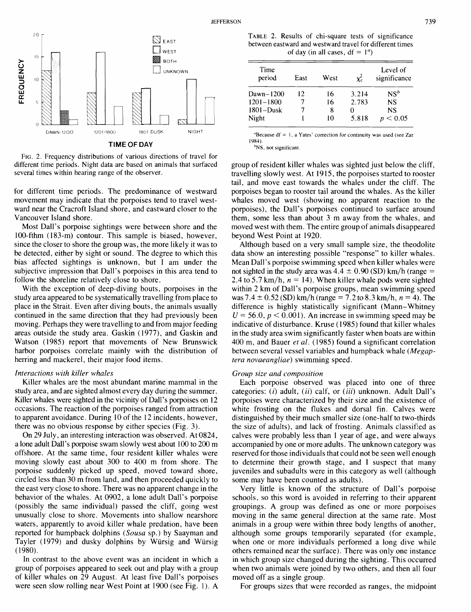

**TIME OF DAY** 

FIG. 2. Frequency distributions of various directions of travel for different time periods. Night data are based on animals that surfaced several times within hearing range of the observer.

for different time periods. The predominance of westward movement may indicate that the porpoises tend to travel westward near the Cracroft Island shore, and eastward closer to the Vancouver Island shore.

Most Dall's porpoise sightings were between shore and the 100-fthm (183-m) contour. This sample is biased, however, since the closer to shore the group was, the more likely it was to be detected, either by sight or sound. The degree to which this bias affected sightings is unknown, but I am under the subjective impression that Dall's porpoises in this area tend to follow the shoreline relatively close to shore.

With the exception of deep-diving bouts, porpoises in the study area appeared to be systematically travelling from place to place in the Strait. Even after diving bouts, the animals usually continued in the same direction that they had previously been moving. Perhaps they were travelling to and from major feeding areas outside the study area. Gaskin ( 1977), and Gaskin and Watson (1985) report that movements of New Brunswick harbor porpoises correlate mainly with the distribution of herring and mackerel, their major food items.

## Interactions with killer whales

Killer whales are the most abundant marine mammal in the study area, and are sighted almost every day during the summer. Killer whales were sighted in the vicinity of Dall's porpoises on 12 occasions. The reaction of the porpoises ranged from attraction to apparent avoidance. During 10 of the 12 incidents, however, there was no obvious response by either species (Fig. 3).

On 29 July, an interesting interaction was observed. At 0824, a lone adult Dall's porpoise swam slowly west about 100 to 200 m offshore. At the same time, four resident killer whales were moving slowly east about 300 to 400 m from shore. The porpoise suddenly picked up speed, moved toward shore, circled less than 30 m from land, and then proceeded quickly to the east very close to shore. There was no apparent change in the behavior of the whales. At 0902, a lone adult Dall's porpoise (possibly the same individual) passed the cliff, going west unusually close to shore. Movements into shallow nearshore waters, apparently to avoid killer whale predation, have been reported for humpback dolphins (Sousa sp.) by Saayman and Tayler (1979) and dusky dolphins by Würsig and Würsig (1980).

In contrast to the above event was an incident in which a group of porpoises appeared to seek out and play with a group of killer whales on 29 August. At least five Dall's porpoises were seen slow rolling near West Point at 1900 (see Fig. 1). A

TABLE 2. Results of chi-square tests of significance between eastward and westward travel for different times WEST OF A REPORT OF A REPORT OF  $\log$  (in all cases,  $df = 1^a$ )

| <b>888</b> BOTH | <b>UNKNOWN</b> | Time<br>period                | East | West                                                                                                                                                                                                                             |       | Level of<br>significance |
|-----------------|----------------|-------------------------------|------|----------------------------------------------------------------------------------------------------------------------------------------------------------------------------------------------------------------------------------|-------|--------------------------|
|                 |                | Dawn- $1200$                  | 12   | 16                                                                                                                                                                                                                               | 3.214 | NS <sup>b</sup>          |
|                 |                | $1201 - 1800$                 |      | 16                                                                                                                                                                                                                               | 2.783 | <b>NS</b>                |
|                 |                | $1801 - Dusk$                 |      | 8                                                                                                                                                                                                                                |       | NS                       |
|                 |                | Night                         |      | 10                                                                                                                                                                                                                               | 5.818 | < 0.05<br><sub>n</sub>   |
| DUSK            | <b>NIGHT</b>   | <b><i><u>Property</u></i></b> |      | $\mathbf{a}$ , and the set of the set of the set of the set of the set of the set of the set of the set of the set of the set of the set of the set of the set of the set of the set of the set of the set of the set of the set |       |                          |

"Because  $df = 1$ , a Yates' correction for continuity was used (see Zar **<sup>1</sup>984).** 

'Ns, not significant.

group of resident killer whales was sighted just below the cliff, travelling slowly west. At 19 15, the porpoises started to rooster tail, and move east towards the whales under the cliff. The porpoises began to rooster tail around the whales. As the killer whales moved west (showing no apparent reaction to the porpoises), the Dall's porpoises continued to surface around them, some less than about 3 m away from the whales, and moved west with them. The entire group of animals disappeared beyond West Point at 1920.

Although based on a very small sample size, the theodolite data show an interesting possible "response" to killer whales. Mean Dall's porpoise swimming speed when killer whales were not sighted in the study area was  $4.4 \pm 0.90$  (SD) km/h (range = 2.4 to 5.7 km/h,  $n = 14$ ). When killer whale pods were sighted within 2 km of Dall's porpoise groups, mean swimming speed was 7.4  $\pm$  0.52 (SD) km/h (range = 7.2 to 8.3 km/h, n = 4). The difference is highly statistically significant (Mann-Whitney  $U = 56.0, p < 0.001$ . An increase in swimming speed may be indicative of disturbance. Kruse (1985) found that killer whales in the study area swim significantly faster when boats are within 400 m, and Bauer et al. (1985) found a significant correlation between several vessel variables and humpback whale (Megaptera novaeangliae) swimming speed.

## Group size and composition

Each porpoise observed was placed into one of three categories:  $(i)$  adult,  $(ii)$  calf, or  $(iii)$  unknown. Adult Dall's porpoises were characterized by their size and the existence of white frosting on the flukes and dorsal fin. Calves were distinguished by their much smaller size (one-half to two-thirds the size of adults), and lack of frosting. Animals classified as calves were probably less than 1 year of age, and were always accompanied by one or more adults. The unknown category was reserved for those individuals that could not be seen well enough to determine their growth stage, and I suspect that many juveniles and subadults were in this category as well (although some may have been counted as adults).

Very little is known of the structure of Dall's porpoise schools, so this word is avoided in referring to their apparent groupings. A group was defined as one or more porpoises moving in the same general direction at the same rate. Most animals in a group were within three body lengths of another, although some groups temporarily separated (for example, when one or more individuals performed a long dive while others remained near the surface). There was only one instance in which group size changed during the sighting. This occurred when two animals were joined by two others, and then all four moved off as a single group.

For groups sizes that were recorded as ranges, the midpoint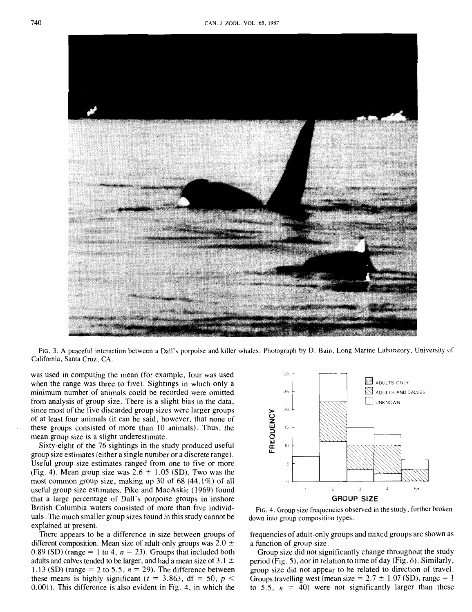

FIG. 3. A peaceful interaction between a Dall's porpoise and killer whales. Photograph by D. Bain, Long Marine Laboratory, University of California, Santa Cruz, CA.

was used in computing the mean (for example, four was used when the range was three to five). Sightings in which only a minimum number of animals could be recorded were omitted from analysis of group size. There is a slight bias in the data, since most of the five discarded group sizes were larger groups of at least four animals (it can be said, however, that none of these groups consisted of more than 10 animals). Thus, the mean group size is a slight underestimate.

Sixty-eight of the 76 sightings in the study produced useful group size estimates (either a single number or a discrete range). Useful group size estimates ranged from one to five or more (Fig. 4). Mean group size was  $2.6 \pm 1.05$  (SD). Two was the most common group size, making up 30 of  $68$  (44.1%) of all useful group size estimates. Pike and MacAskie (1969) found that a large percentage of Dall's porpoise groups in inshore British Columbia waters consisted of more than five individuals. The much smaller group sizes found in this study cannot be explained at present.

There appears to be a difference in size between groups of different composition. Mean size of adult-only groups was  $2.0 \pm$  $0.89$  (SD) (range = 1 to 4,  $n = 23$ ). Groups that included both adults and calves tended to be larger, and had a mean size of 3.1  $\pm$ 1.13 (SD) (range  $= 2$  to 5.5,  $n = 29$ ). The difference between these means is highly significant  $(t = 3.863, df = 50, p <$ 0.001). This difference is also evident in Fig. 4, in which the



FIG. 4. Group size frequencies observed in the study, further broken down into group composition types.

frequencies of adult-only groups and mixed groups are shown as a function of group size.

Group size did not significantly change throughout the study period (Fig. 5), nor in relation to time of day (Fig. 6). Similarly, group size did not appear to be related to direction of travel. Groups travelling west (mean size =  $2.7 \pm 1.07$  (SD), range = 1 to 5.5,  $n = 40$ ) were not significantly larger than those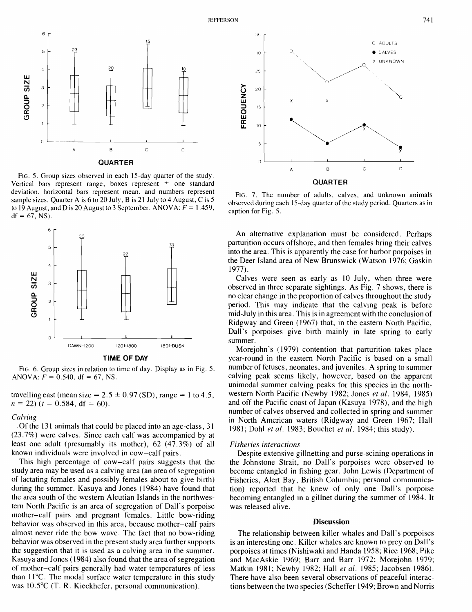



FIG. 5, . Group sizes observed in each 15-day quarter of the study. Vertical bars represent range, boxes represent  $\pm$  one standard deviation, horizontal bars represent mean, and numbers represent sample sizes. Quarter A is 6 to 20 July, B is 21 July to 4 August, C is 5 to 19 August, and D is 20 August to 3 September. ANOVA:  $F = 1.459$ ,  $df = 67$ , NS).





FIG. 6. Group sizes in relation to time of day. Display as in Fig. 5. ANOVA:  $F = 0.540$ , df = 67, NS.

travelling east (mean size =  $2.5 \pm 0.97$  (SD), range = 1 to 4.5,  $n = 22$ )  $(t = 0.584, df = 60)$ .

## *Calving*

Of the 131 animals that could be placed into an age-class, 31 (23.7%) were calves. Since each calf was accompanied by at least one adult (presumably its mother), 62 (47.3%) of all known individuals were involved in cow-calf pairs.

This high percentage of cow-calf pairs suggests that the study area may be used as a calving area (an area of segregation of lactating females and possibly females about to give birth) during the summer. Kasuya and Jones (1984) have found that the area south of the western Aleutian Islands in the northwestern North Pacific is an area of segregation of Dall's porpoise mother-calf pairs and pregnant females. Little bow-riding behavior was observed in this area, because mother-calf pairs almost never ride the bow wave. The fact that no bow-riding behavior was observed in the present study area further supports the suggestion that it is used as a calving area in the summer. Kasuya and Jones ( 1984) also found that the area of segregation of mother-calf pairs generally had water temperatures of less than 11°C. The modal surface water temperature in this study was 10.5°C (T. R. Kieckhefer, personal communication).



FIG. 7. The number of adults, calves, and unknown animals observed during each 15-day quarter of the study period. Quarters as in caption for Fig. 5.

An alternative explanation must be considered. Perhaps parturition occurs offshore, and then females bring their calves into the area. This is apparently the case for harbor porpoises in the Deer Island area of New Brunswick (Watson 1976; Gaskin 1977).

Calves were seen as early as 10 July, when three were observed in three separate sightings. As Fig. 7 shows, there is no clear change in the proportion of calves throughout the study period. This may indicate that the calving peak is before mid-July in this area. This is in agreement with the conclusion of Ridgway and Green (1967) that, in the eastern North Pacific, Dall's porpoises give birth mainly in late spring to early summer.

Morejohn's (1979) contention that parturition takes place year-round in the eastern North Pacific is based on a small number of fetuses, neonates, and juveniles. A spring to summer calving peak seems likely, however, based on the apparent unimodal summer calving peaks for this species in the northwestern North Pacific (Newby 1982; Jones *et al.* 1984, 1985) and off the Pacific coast of Japan (Kasuya 1978), and the high number of calves observed and collected in spring and summer in North American waters (Ridgway and Green 1967; Hall 1981; Doh1 *et al.* 1983; Bouchet *et al.* 1984; this study).

# *Fisheries interactions*

Despite extensive gillnetting and purse-seining operations in the Johnstone Strait, no Dall's porpoises were observed to become entangled in fishing gear. John Lewis (Department of Fisheries, Alert Bay, British Columbia; personal communication) reported that he knew of only one Dall's porpoise becoming entangled in a gillnet during the summer of 1984. It was released alive.

## **Discussion**

The relationship between killer whales and Dall's porpoises is an interesting one. Killer whales are known to prey on Dall's porpoises at times (Nishiwaki and Handa 1958; Rice 1968; Pike and MacAskie 1969; Barr and Barr 1972; Morejohn 1979; Matkin 1981; Newby 1982; Hall *et al.* 1985; Jacobsen 1986). There have also been several observations of peaceful interactions between the two species (Scheffer 1949; Brown and Norris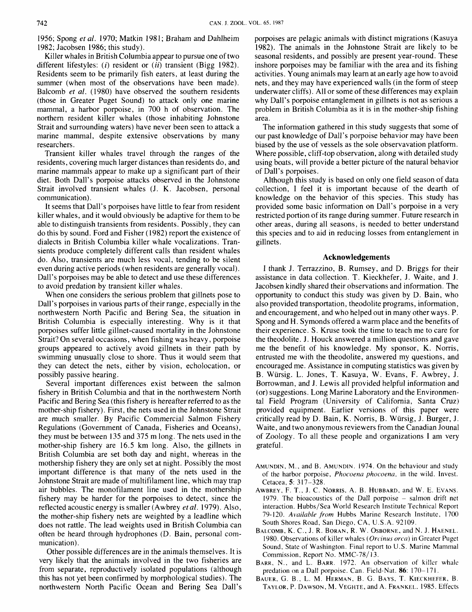1956; Spong *et al.* 1970; Matkin 1981; Braham and Dahlheim 1982; Jacobsen 1986; this study).

Killer whales in British Columbia appear to pursue one of two different lifestyles: (*i*) resident or (*ii*) transient (Bigg 1982). Residents seem to be primarily fish eaters, at least during the summer (when most of the observations have been made). Balcomb *et al.* (1980) have observed the southern residents (those in Greater Puget Sound) to attack only one marine mammal, a harbor porpoise, in 700 h of observation. The northern resident killer whales (those inhabiting Johnstone Strait and surrounding waters) have never been seen to attack a marine mammal, despite extensive observations by many researchers.

Transient killer whales travel through the ranges of the residents, covering much larger distances than residents do, and marine mammals appear to make up a significant part of their diet. Both Dall's porpoise attacks observed in the Johnstone Strait involved transient whales (J. K. Jacobsen, personal communication).

It seems that Dall's porpoises have little to fear from resident killer whales, and it would obviously be adaptive for them to be able to distinguish transients from residents. Possibly, they can do this by sound. Ford and Fisher (1982) report the existence of dialects in British Columbia killer whale vocalizations. Transients produce completely different calls than resident whales do. Also, transients are much less vocal, tending to be silent even during active periods (when residents are generally vocal). Dall's porpoises may be able to detect and use these differences to avoid predation by transient killer whales.

When one considers the serious problem that gillnets pose to Dall's porpoises in various parts of their range, especially in the northwestern North Pacific and Bering Sea, the situation in British Columbia is especially interesting. Why is it that porpoises suffer little gillnet-caused mortality in the Johnstone Strait? On several occasions, when fishing was heavy, porpoise groups appeared to actively avoid gillnets in their path by swimming unusually close to shore. Thus it would seem that they can detect the nets, either by vision, echolocation, or possibly passive hearing.

Several important differences exist between the salmon fishery in British Columbia and that in the northwestern North Pacific and Bering Sea (this fishery is hereafter referred to as the mother-ship fishery). First, the nets used in the Johnstone Strait are much smaller. By Pacific Commercial Salmon Fishery Regulations (Government of Canada, Fisheries and Oceans), they must be between 135 and 375 m long. The nets used in the mother-ship fishery are 16.5 km long. Also, the gillnets in British Columbia are set both day and night, whereas in the mothership fishery they are only set at night. Possibly the most important difference is that many of the nets used in the Johnstone Strait are made of multifilament line, which may trap air bubbles. The monofilament line used in the mothership fishery may be harder for the porpoises to detect, since the reflected acoustic energy is smaller (Awbrey *et al.* 1979). Also, the mother-ship fishery nets are weighted by a leadline which does not rattle. The lead weights used in British Columbia can often be heard through hydrophones (D. Bain, personal communication),

Other possible differences are in the animals themselves. It is very likely that the animals involved in the two fisheries are from separate, reproductively isolated populations (although this has not yet been confirmed by morphological studies). The northwestern North Pacific Ocean and Bering Sea Dall's porpoises are pelagic animals with distinct migrations (Kasuya 1982). The animals in the Johnstone Strait are likely to be seasonal residents, and possibly are present year-round. These inshore porpoises may be familiar with the area and its fishing activities. Young animals may learn at an early age how to avoid nets, and they may have experienced walls (in the form of steep underwater cliffs). All or some of these differences may explain why Dall's porpoise entanglement in gillnets is not as serious a problem in British Columbia as it is in the mother-ship fishing area.

The information gathered in this study suggests that some of our past knowledge of Dall's porpoise behavior may have been biased by the use of vessels as the sole observavation platform. Where possible, cliff-top observation, along with detailed study using boats, will provide a better picture of the natural behavior of Dall's porpoises.

Although this study is based on only one field season of data collection, 1 feel it is important because of the dearth of knowledge on the behavior of this species. This study has provided some basic information on Dall's porpoise in a very restricted portion of its range during summer. Future research in other areas, during all seasons, is needed to better understand this species and to aid in reducing losses from entanglement in gillnets.

## **Acknowledgements**

I thank J. Terrazzino, B. Rumsey, and D. Briggs for their assistance in data collection. T. Kieckhefer, J. Waite, and J. Jacobsen kindly shared their observations and information. The opportunity to conduct this study was given by D. Bain, who also provided transportation, theodolite programs, information, and encouragement, and who helped out in many other ways. P. Spong and H. Symonds offered a warm place and the benefits of their experience. S. Kruse took the time to teach me to care for the theodolite. J. Houck answered a million questions and gave me the benefit of his knowledge. My sponsor, K. Norris, entrusted me with the theodolite, answered my questions, and encouraged me. Assistance in computing statistics was given by B. Wursig. L. Jones, T. Kasuya, W. Evans, F. Awbrey, J. Borrowman, and J. Lewis all provided helpful information and (or) suggestions. Long Marine Laboratory and the Environmental Field Program (University of California, Santa Cruz) provided equipment. Earlier versions of this paper were critically read by D. Bain, K. Norris, B. Wursig, J. Burger, J. Waite, and two anonymous reviewers from the Canadian Jounal of Zoology. To all these people and organizations I am very grateful.

- AMUNDIN. M., and B. AMUNDIN. 1974. On the behaviour and study of the harbor porpoise, *Phocoena phocoena,* in the wild. Invest. Cetacea, 5: 317-328.
- AWBREY, F. T., J. C. NORRIS, A. B. HUBBARD, and W. E. EVANS. 1979. The bioacoustics of the Dall porpoise - salmon drift net interaction. Hubbs/Sea World Research Institute Technical Report 79- 120. *Avuiluble from* Hubbs Marine Research Institute. 1700 South Shores Road, San Diego, CA, U.S.A. 92109.
- BALCOMB, K. C., J. R. BORAN, R. W. OSBORNE, and N. J. HAENEL. 1980. Observations of killer whales *(Orcinus orca)* in Greater Puget Sound, State of Washington. Final report to U.S. Marine Mammal Commission, Report No. MMC-78/ 13.
- BARK, N., and L. BARR. 1972. **An** observation of killer whale predation on a Dall porpoise. Can. Field-Nat. 86: 170-171.
- BAUER, G. B., L. M. HERMAN. B. G. BAYS, T. KIECKHEFER, B. TAYLOR, P. DAWSON, M. VEGHTE, and A. FRANKEL. 1985. Effects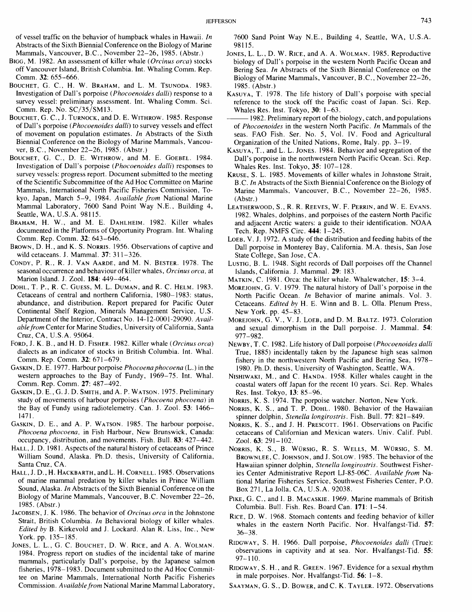of vessel traffic on the behavior of humpback whales in Hawaii. In Abstracts of the Sixth Biennial Conference on the Biology of Marine Mammals, Vancouver, B.C., November 22–26, 1985. (Abstr.)

- BIGG, M. 1982. An assessment of killer whale (Orcinus orca) stocks off Vancouver Island, British Columbia. Int. Whaling Comm. Rep. Comm. 32: 655-666.
- BOUCHET, G. C., H. W. BRAHAM, and L. M. TSUNODA. 1983. Investigation of Dall's porpoise (Phocoenoides dalli) response to a survey vessel: preliminary assessment. Int. Whaling Comm. Sci. Comm. Rep. No. SC/35/SM13.
- BOUCHET, G. C., J. TURNOCK, and D. E. WITHROW. 1985. Response of Dall's porpoise (Phocoenoides dalli) to survey vessels and effect of movement on population estimates. In Abstracts of the Sixth Biennial Conference on the Biology of Marine Mammals, Vancouver, B.C., November 22-26, 1985. (Abstr.)
- BOUCHET, G. C., D. E. WITHROW, and M. E. GOEBEL. 1984. Investigation of Dall's porpoise (Phocoenoides dalli) responses to survey vessels: progress report. Document submitted to the meeting of the Scientific Subcommittee of the Ad Hoc Committee on Marine Mammals, International North Pacific Fisheries Commission, Tokyo, Japan, March 5-9, 1984. Available from National Marine Mammal Laboratory, 7600 Sand Point Way N.E., Building 4, Seattle, WA, U.S.A. 98115.
- BRAHAM, H. W., and M. E. DAHLHEIM. 1982. Killer whales documented in the Platforms of Opportunity Program. Int. Whaling Comm. Rep. Comm. 32: 643-646.
- BROWN, D. H., and K. S. NORRIS. 1956. Observations of captive and wild cetaceans. J. Mammal. 37: 311-326.
- CONDY, P. R., R. J. VAN AARDE, and M. N. BESTER. 1978. The seasonal occurrence and behaviour of killer whales, Orcinus orca, at Marion Island. J. Zool. 184: 449-464.
- DOHL, T. P., R. C. GUESS, M. L. DUMAN, and R. C. HELM. 1983. Cetaceans of central and northern California, 1980-1983: status, abundance, and distribution. Report prepared for Pacific Outer Continental Shelf Region, Minerals Management Service, U.S. Department of the Interior, Contract No. 14- 12-000 1-29090. Available from Center for Marine Studies, University of California, Santa Cruz, CA, U.S.A. 95064.
- FORD, J. K. B., and H. D. FISHER. 1982. Killer whale (Orcinus orca) dialects as an indicator of stocks in British Columbia. Int. Whal. Comm. Rep. Comm. 32: 671-679.
- GASKIN, D. E. 1977. Harbour porpoise *Phocoena phocoena* (L.) in the western approaches to the Bay of Fundy, 1969-75. Int. Whal. Comm. Rep. Comm. 27: 487-492.
- GASKIN, D. E., G. J. D. SMITH, and A. P. WATSON. 1975. Preliminary study of movements of harbour porpoises (Phocoena phocoena) in the Bay of Fundy using radiotelemetry. Can. J. Zool. 53: 1466-1471.
- GASKIN, D. E., and A. P. WATSON. 1985. The harbour porpoise, Phocoena phocoena, in Fish Harbour, New Brunswick, Canada: occupancy, distribution, and movements. Fish. Bull. 83: 427-442.
- HALL, J. D. 1981. Aspects of the natural history of cetaceans of Prince William Sound, Alaska. Ph.D. thesis, University of California, Santa Cruz, CA.
- HALL, J. D., H. HACKBARTH, and L. H. CORNELL. 1985. Observations of marine mammal predation by killer whales in Prince William Sound, Alaska. In Abstracts of the Sixth Biennial Conference on the Biology of Marine Mammals, Vancouver, B.C. November 22-26, 1985. (Abstr.)
- JACOBSEN, J. K. 1986. The behavior of Orcinus orca in the Johnstone Strait, British Columbia. In Behavioral biology of killer whales. Edited by B. Kirkevold and J. Lockard. Alan R. Liss, Inc., New York. pp. 135- 185.
- JONES, L. L., G. C. BOUCHET, D. W. RICE, and A. A. WOLMAN. 1984. Progress report on studies of the incidental take of marine mammals, particularly Dall's porpoise, by the Japanese salmon fisheries, 1978- 1983. Document submitted to the Ad Hoc Committee on Marine Mammals, International North Pacific Fisheries Commission. Available from National Marine Mammal Laboratory,

7600 Sand Point Way N.E., Building 4, Seattle, WA, U.S.A. 98115.

- JONES, L. L., D. W. RICE, and A. A. WOLMAN. 1985. Reproductive biology of Dall's porpoise in the western North Pacific Ocean and Bering Sea. In Abstracts of the Sixth Biennial Conference on the Biology of Marine Mammals, Vancouver, B .C., November 22-26, 1985. (Abstr.)
- KASUYA, T. 1978. The life history of Dall's porpoise with special reference to the stock off the Pacific coast of Japan. Sci. Rep. Whales Res. Inst. Tokyo, 30: 1-63.
- 1982. Preliminary report of the biology, catch, and populations of Phocoenoides in the western North Pacific. In Mammals of the seas. FA0 Fish. Ser. No. 5, Vol. IV. Food and Agricultural Organization of the United Nations, Rome, Italy. pp. 3- 19.
- KASUYA, T., and L. L. JONES. 1984. Behavior and segregation of the Dall's porpoise in the northwestern North Pacific Ocean. Sci. Rep. Whales Res. Inst. Tokyo, 35: 107-128.
- KRUSE, S. L. 1985. Movements of killer whales in Johnstone Strait, B .C. In Abstracts of the Sixth Biennial Conference on the Biology of Marine Mammals, Vancouver, B.C., November 22-26, 1985. (Abstr.)
- LEATHERWOOD, S., R. R. REEVES, W. F. PERRIN, and W. E. EVANS. 1982. Whales, dolphins, and porpoises of the eastern North Pacific and adjacent Arctic waters: a guide to their identification. NOAA Tech. Rep. NMFS Circ. 444: 1-245.
- LOEB, V. J. 1972. A study of the distribution and feeding habits of the Dall porpoise in Monterey Bay, California. M.A. thesis, San Jose State College, San Jose, CA.
- LUSTIG, B. L. 1948. Sight records of Dall porpoises off the Channel Islands, California. J. Mammal. 29: 183.
- MATKIN, C. 1981. Orca: the killer whale. Whalewatcher, 15: 3-4.
- MOREJOHN, G.V. 1979. The natural history of Dall's porpoise in the North Pacific Ocean. In Behavior of marine animals. Vol. 3. Cetaceans. Edited by H. E. Winn and B. L. Olla. Plenum Press, New York. pp. 45-83.
- MOREJOHN, G.V., V. J. LOEB, and D. M. BALTZ. 1973. Coloration and sexual dimorphism in the Dall porpoise. J. Mammal. 54: 977-982.
- NEWBY, T. C. 1982. Life history of Dall porpoise (Phocoenoides dalli True, 1885) incidentally taken by the Japanese high seas salmon fishery in the northwestern North Pacific and Bering Sea, 1978- 1980. Ph.D. thesis, University of Washington, Seattle, WA.
- NISHIWAKI, M., and C. HANDA. 1958. Killer whales caught in the coastal waters off Japan for the recent 10 years. Sci. Rep. Whales Res. Inst. Tokyo, 13: 85-96.
- NORRIS, K. S. 1974. The porpoise watcher. Norton, New York.
- NORRIS, K. S., and T. P. DOHL. 1980. Behavior of the Hawaiian spinner dolphin, Stenella longirostris. Fish. Bull. 77: 821-849.
- NORRIS, K. S., and J. H. PRESCOTT. 1961. Observations on Pacific cetaceans of Californian and Mexican waters. Univ. Calif. Publ. Zool. 63: 291-102.
- NORRIS, K. S., B. WURSIG, R. S. WELLS, M. WURSIG, S. M. BROWNLEE, C.JOHNSON, and J. SOLOW. 1985. The behavior of the Hawaiian spinner dolphin, Stenella longirostris. Southwest Fisheries Center Administrative Report LJ-85-06C. Available from National Marine Fisheries Service, Southwest Fisheries Center, P.O. Box 271, La Jolla, CA, U.S.A. 92038.
- PIKE, G. C., and I. B. MACASKIE. 1969. Marine mammals of British Columbia. Bull. Fish. Res. Board Can. 171: 1-54.
- RICE, D. W. 1968. Stomach contents and feeding behavior of killer whales in the eastern North Pacific. Nor. Hvalfangst-Tid. 57: 36-38.
- RIDGWAY, S. H. 1966. Dall porpoise, Phocoenoides dalli (True): observations in captivity and at sea. Nor. Hvalfangst-Tid. 55:  $97 - 110$ .
- RIDGWAY, S. H., and R. GREEN. 1967. Evidence for a sexual rhythm in male porpoises. Nor. Hvalfangst-Tid. 56: 1-8.
- SAAYMAN, G. S.. D. BOWER, and C. K. TAYLER. 1972. Observations